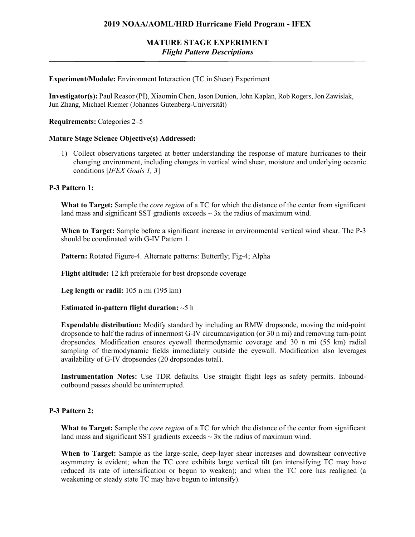# **MATURE STAGE EXPERIMENT** *Flight Pattern Descriptions*

### **Experiment/Module:** Environment Interaction (TC in Shear) Experiment

**Investigator(s):** Paul Reasor (PI), Xiaomin Chen, Jason Dunion, John Kaplan, Rob Rogers, Jon Zawislak, Jun Zhang, Michael Riemer (Johannes Gutenberg-Universität)

**Requirements:** Categories 2–5

#### **Mature Stage Science Objective(s) Addressed:**

1) Collect observations targeted at better understanding the response of mature hurricanes to their changing environment, including changes in vertical wind shear, moisture and underlying oceanic conditions [*IFEX Goals 1, 3*]

### **P-3 Pattern 1:**

**What to Target:** Sample the *core region* of a TC for which the distance of the center from significant land mass and significant SST gradients exceeds  $\sim$  3x the radius of maximum wind.

**When to Target:** Sample before a significant increase in environmental vertical wind shear. The P-3 should be coordinated with G-IV Pattern 1.

**Pattern:** Rotated Figure-4. Alternate patterns: Butterfly; Fig-4; Alpha

**Flight altitude:** 12 kft preferable for best dropsonde coverage

**Leg length or radii:** 105 n mi (195 km)

**Estimated in-pattern flight duration:** ~5 h

**Expendable distribution:** Modify standard by including an RMW dropsonde, moving the mid-point dropsonde to half the radius of innermost G-IV circumnavigation (or 30 n mi) and removing turn-point dropsondes. Modification ensures eyewall thermodynamic coverage and 30 n mi (55 km) radial sampling of thermodynamic fields immediately outside the eyewall. Modification also leverages availability of G-IV dropsondes (20 dropsondes total).

**Instrumentation Notes:** Use TDR defaults. Use straight flight legs as safety permits. Inboundoutbound passes should be uninterrupted.

## **P-3 Pattern 2:**

**What to Target:** Sample the *core region* of a TC for which the distance of the center from significant land mass and significant SST gradients exceeds  $\sim$  3x the radius of maximum wind.

**When to Target:** Sample as the large-scale, deep-layer shear increases and downshear convective asymmetry is evident; when the TC core exhibits large vertical tilt (an intensifying TC may have reduced its rate of intensification or begun to weaken); and when the TC core has realigned (a weakening or steady state TC may have begun to intensify).